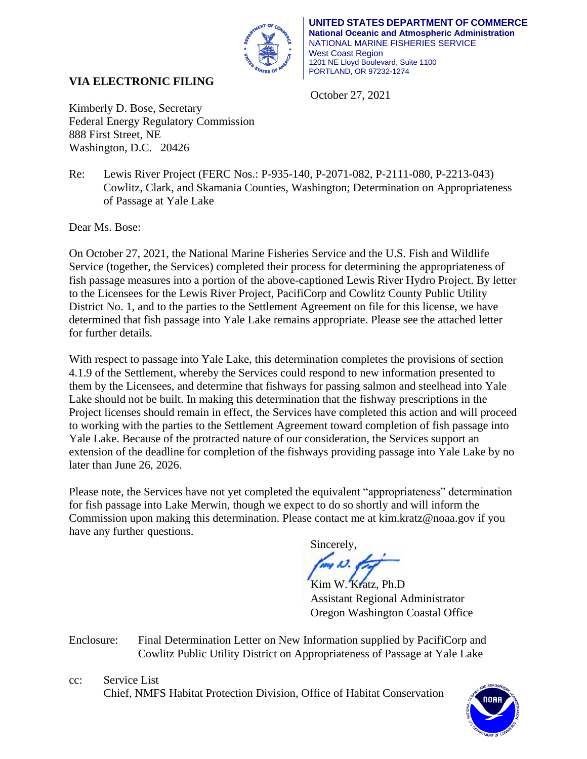

October 27, 2021

# **VIA ELECTRONIC FILING**

Kimberly D. Bose, Secretary Federal Energy Regulatory Commission 888 First Street, NE Washington, D.C. 20426

Re: Lewis River Project (FERC Nos.: P-935-140, P-2071-082, P-2111-080, P-2213-043) Cowlitz, Clark, and Skamania Counties, Washington; Determination on Appropriateness of Passage at Yale Lake

Dear Ms. Bose:

On October 27, 2021, the National Marine Fisheries Service and the U.S. Fish and Wildlife Service (together, the Services) completed their process for determining the appropriateness of fish passage measures into a portion of the above-captioned Lewis River Hydro Project. By letter to the Licensees for the Lewis River Project, PacifiCorp and Cowlitz County Public Utility District No. 1, and to the parties to the Settlement Agreement on file for this license, we have determined that fish passage into Yale Lake remains appropriate. Please see the attached letter for further details.

With respect to passage into Yale Lake, this determination completes the provisions of section 4.1.9 of the Settlement, whereby the Services could respond to new information presented to them by the Licensees, and determine that fishways for passing salmon and steelhead into Yale Lake should not be built. In making this determination that the fishway prescriptions in the Project licenses should remain in effect, the Services have completed this action and will proceed to working with the parties to the Settlement Agreement toward completion of fish passage into Yale Lake. Because of the protracted nature of our consideration, the Services support an extension of the deadline for completion of the fishways providing passage into Yale Lake by no later than June 26, 2026.

Please note, the Services have not yet completed the equivalent "appropriateness" determination for fish passage into Lake Merwin, though we expect to do so shortly and will inform the Commission upon making this determination. Please contact me at kim.kratz@noaa.gov if you have any further questions.

Sincerely,

Kim W. Kratz, Ph.D Assistant Regional Administrator Oregon Washington Coastal Office

Enclosure: Final Determination Letter on New Information supplied by PacifiCorp and Cowlitz Public Utility District on Appropriateness of Passage at Yale Lake

cc: Service List Chief, NMFS Habitat Protection Division, Office of Habitat Conservation

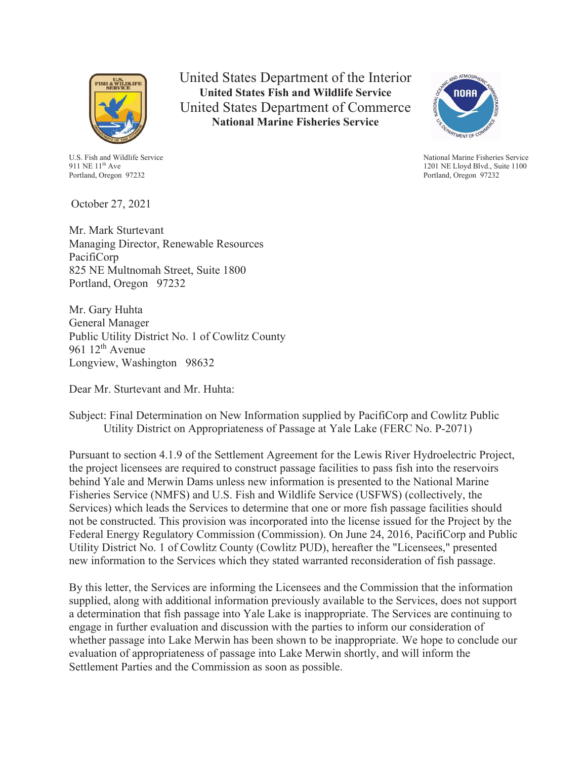

United States Department of the Interior **United States Fish and Wildlife Service** United States Department of Commerce **National Marine Fisheries Service**



National Marine Fisheries Service 1201 NE Lloyd Blvd., Suite 1100 Portland, Oregon 97232

U.S. Fish and Wildlife Service 911 NE 11<sup>th</sup> Ave Portland, Oregon 97232

October 27, 2021

Mr. Mark Sturtevant Managing Director, Renewable Resources PacifiCorp 825 NE Multnomah Street, Suite 1800 Portland, Oregon 97232

Mr. Gary Huhta General Manager Public Utility District No. 1 of Cowlitz County 961  $12^{th}$  Avenue Longview, Washington 98632

Dear Mr. Sturtevant and Mr. Huhta:

## Subject: Final Determination on New Information supplied by PacifiCorp and Cowlitz Public Utility District on Appropriateness of Passage at Yale Lake (FERC No. P-2071)

Pursuant to section 4.1.9 of the Settlement Agreement for the Lewis River Hydroelectric Project, the project licensees are required to construct passage facilities to pass fish into the reservoirs behind Yale and Merwin Dams unless new information is presented to the National Marine Fisheries Service (NMFS) and U.S. Fish and Wildlife Service (USFWS) (collectively, the Services) which leads the Services to determine that one or more fish passage facilities should not be constructed. This provision was incorporated into the license issued for the Project by the Federal Energy Regulatory Commission (Commission). On June 24, 2016, PacifiCorp and Public Utility District No. 1 of Cowlitz County (Cowlitz PUD), hereafter the "Licensees," presented new information to the Services which they stated warranted reconsideration of fish passage.

By this letter, the Services are informing the Licensees and the Commission that the information supplied, along with additional information previously available to the Services, does not support a determination that fish passage into Yale Lake is inappropriate. The Services are continuing to engage in further evaluation and discussion with the parties to inform our consideration of whether passage into Lake Merwin has been shown to be inappropriate. We hope to conclude our evaluation of appropriateness of passage into Lake Merwin shortly, and will inform the Settlement Parties and the Commission as soon as possible.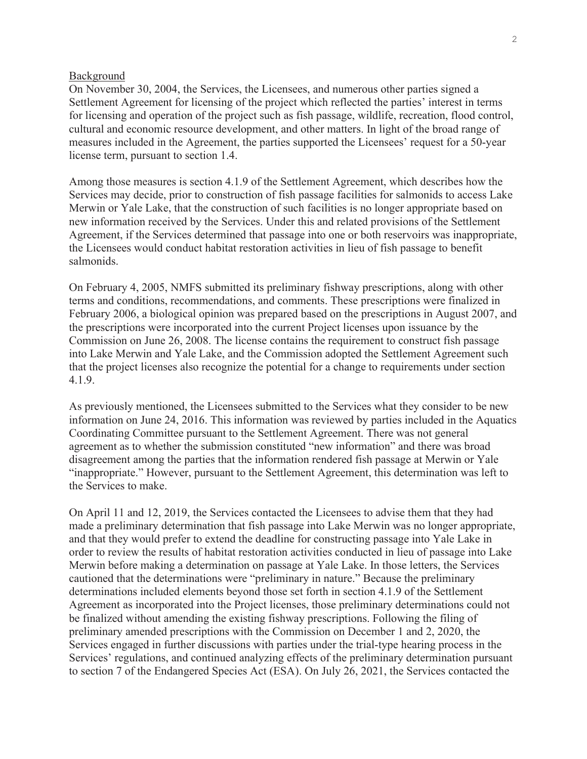#### Background

On November 30, 2004, the Services, the Licensees, and numerous other parties signed a Settlement Agreement for licensing of the project which reflected the parties' interest in terms for licensing and operation of the project such as fish passage, wildlife, recreation, flood control, cultural and economic resource development, and other matters. In light of the broad range of measures included in the Agreement, the parties supported the Licensees' request for a 50-year license term, pursuant to section 1.4.

Among those measures is section 4.1.9 of the Settlement Agreement, which describes how the Services may decide, prior to construction of fish passage facilities for salmonids to access Lake Merwin or Yale Lake, that the construction of such facilities is no longer appropriate based on new information received by the Services. Under this and related provisions of the Settlement Agreement, if the Services determined that passage into one or both reservoirs was inappropriate, the Licensees would conduct habitat restoration activities in lieu of fish passage to benefit salmonids.

On February 4, 2005, NMFS submitted its preliminary fishway prescriptions, along with other terms and conditions, recommendations, and comments. These prescriptions were finalized in February 2006, a biological opinion was prepared based on the prescriptions in August 2007, and the prescriptions were incorporated into the current Project licenses upon issuance by the Commission on June 26, 2008. The license contains the requirement to construct fish passage into Lake Merwin and Yale Lake, and the Commission adopted the Settlement Agreement such that the project licenses also recognize the potential for a change to requirements under section 4.1.9.

As previously mentioned, the Licensees submitted to the Services what they consider to be new information on June 24, 2016. This information was reviewed by parties included in the Aquatics Coordinating Committee pursuant to the Settlement Agreement. There was not general agreement as to whether the submission constituted "new information" and there was broad disagreement among the parties that the information rendered fish passage at Merwin or Yale "inappropriate." However, pursuant to the Settlement Agreement, this determination was left to the Services to make.

On April 11 and 12, 2019, the Services contacted the Licensees to advise them that they had made a preliminary determination that fish passage into Lake Merwin was no longer appropriate, and that they would prefer to extend the deadline for constructing passage into Yale Lake in order to review the results of habitat restoration activities conducted in lieu of passage into Lake Merwin before making a determination on passage at Yale Lake. In those letters, the Services cautioned that the determinations were "preliminary in nature." Because the preliminary determinations included elements beyond those set forth in section 4.1.9 of the Settlement Agreement as incorporated into the Project licenses, those preliminary determinations could not be finalized without amending the existing fishway prescriptions. Following the filing of preliminary amended prescriptions with the Commission on December 1 and 2, 2020, the Services engaged in further discussions with parties under the trial-type hearing process in the Services' regulations, and continued analyzing effects of the preliminary determination pursuant to section 7 of the Endangered Species Act (ESA). On July 26, 2021, the Services contacted the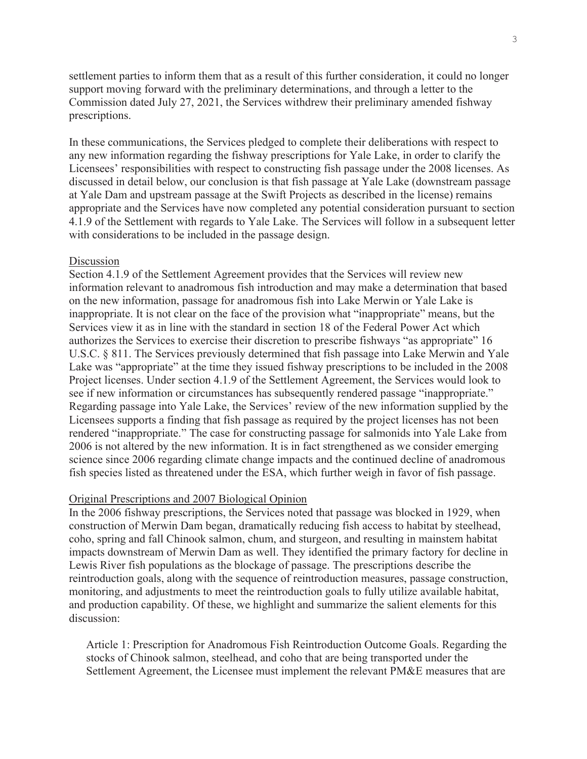settlement parties to inform them that as a result of this further consideration, it could no longer support moving forward with the preliminary determinations, and through a letter to the Commission dated July 27, 2021, the Services withdrew their preliminary amended fishway prescriptions.

In these communications, the Services pledged to complete their deliberations with respect to any new information regarding the fishway prescriptions for Yale Lake, in order to clarify the Licensees' responsibilities with respect to constructing fish passage under the 2008 licenses. As discussed in detail below, our conclusion is that fish passage at Yale Lake (downstream passage at Yale Dam and upstream passage at the Swift Projects as described in the license) remains appropriate and the Services have now completed any potential consideration pursuant to section 4.1.9 of the Settlement with regards to Yale Lake. The Services will follow in a subsequent letter with considerations to be included in the passage design.

#### Discussion

Section 4.1.9 of the Settlement Agreement provides that the Services will review new information relevant to anadromous fish introduction and may make a determination that based on the new information, passage for anadromous fish into Lake Merwin or Yale Lake is inappropriate. It is not clear on the face of the provision what "inappropriate" means, but the Services view it as in line with the standard in section 18 of the Federal Power Act which authorizes the Services to exercise their discretion to prescribe fishways "as appropriate" 16 U.S.C. § 811. The Services previously determined that fish passage into Lake Merwin and Yale Lake was "appropriate" at the time they issued fishway prescriptions to be included in the 2008 Project licenses. Under section 4.1.9 of the Settlement Agreement, the Services would look to see if new information or circumstances has subsequently rendered passage "inappropriate." Regarding passage into Yale Lake, the Services' review of the new information supplied by the Licensees supports a finding that fish passage as required by the project licenses has not been rendered "inappropriate." The case for constructing passage for salmonids into Yale Lake from 2006 is not altered by the new information. It is in fact strengthened as we consider emerging science since 2006 regarding climate change impacts and the continued decline of anadromous fish species listed as threatened under the ESA, which further weigh in favor of fish passage.

#### Original Prescriptions and 2007 Biological Opinion

In the 2006 fishway prescriptions, the Services noted that passage was blocked in 1929, when construction of Merwin Dam began, dramatically reducing fish access to habitat by steelhead, coho, spring and fall Chinook salmon, chum, and sturgeon, and resulting in mainstem habitat impacts downstream of Merwin Dam as well. They identified the primary factory for decline in Lewis River fish populations as the blockage of passage. The prescriptions describe the reintroduction goals, along with the sequence of reintroduction measures, passage construction, monitoring, and adjustments to meet the reintroduction goals to fully utilize available habitat, and production capability. Of these, we highlight and summarize the salient elements for this discussion:

Article 1: Prescription for Anadromous Fish Reintroduction Outcome Goals. Regarding the stocks of Chinook salmon, steelhead, and coho that are being transported under the Settlement Agreement, the Licensee must implement the relevant PM&E measures that are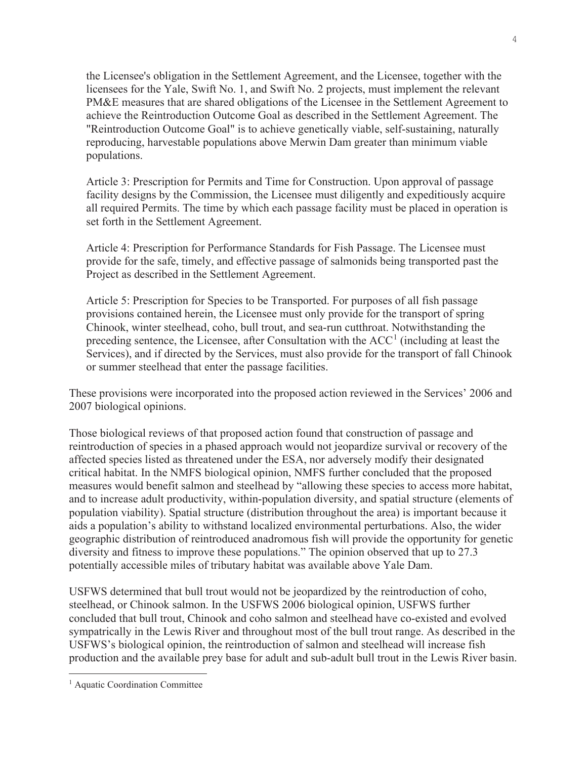the Licensee's obligation in the Settlement Agreement, and the Licensee, together with the licensees for the Yale, Swift No. 1, and Swift No. 2 projects, must implement the relevant PM&E measures that are shared obligations of the Licensee in the Settlement Agreement to achieve the Reintroduction Outcome Goal as described in the Settlement Agreement. The "Reintroduction Outcome Goal" is to achieve genetically viable, self-sustaining, naturally reproducing, harvestable populations above Merwin Dam greater than minimum viable populations.

Article 3: Prescription for Permits and Time for Construction. Upon approval of passage facility designs by the Commission, the Licensee must diligently and expeditiously acquire all required Permits. The time by which each passage facility must be placed in operation is set forth in the Settlement Agreement.

Article 4: Prescription for Performance Standards for Fish Passage. The Licensee must provide for the safe, timely, and effective passage of salmonids being transported past the Project as described in the Settlement Agreement.

Article 5: Prescription for Species to be Transported. For purposes of all fish passage provisions contained herein, the Licensee must only provide for the transport of spring Chinook, winter steelhead, coho, bull trout, and sea-run cutthroat. Notwithstanding the preceding sentence, the Licensee, after Consultation with the  $ACC<sup>1</sup>$  (including at least the Services), and if directed by the Services, must also provide for the transport of fall Chinook or summer steelhead that enter the passage facilities.

These provisions were incorporated into the proposed action reviewed in the Services' 2006 and 2007 biological opinions.

Those biological reviews of that proposed action found that construction of passage and reintroduction of species in a phased approach would not jeopardize survival or recovery of the affected species listed as threatened under the ESA, nor adversely modify their designated critical habitat. In the NMFS biological opinion, NMFS further concluded that the proposed measures would benefit salmon and steelhead by "allowing these species to access more habitat, and to increase adult productivity, within-population diversity, and spatial structure (elements of population viability). Spatial structure (distribution throughout the area) is important because it aids a population's ability to withstand localized environmental perturbations. Also, the wider geographic distribution of reintroduced anadromous fish will provide the opportunity for genetic diversity and fitness to improve these populations." The opinion observed that up to 27.3 potentially accessible miles of tributary habitat was available above Yale Dam.

USFWS determined that bull trout would not be jeopardized by the reintroduction of coho, steelhead, or Chinook salmon. In the USFWS 2006 biological opinion, USFWS further concluded that bull trout, Chinook and coho salmon and steelhead have co-existed and evolved sympatrically in the Lewis River and throughout most of the bull trout range. As described in the USFWS's biological opinion, the reintroduction of salmon and steelhead will increase fish production and the available prey base for adult and sub-adult bull trout in the Lewis River basin.

<sup>&</sup>lt;sup>1</sup> Aquatic Coordination Committee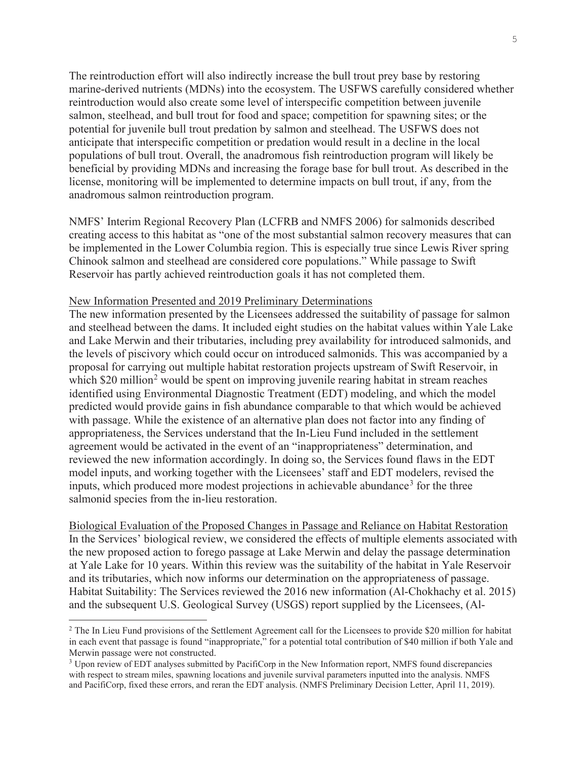The reintroduction effort will also indirectly increase the bull trout prey base by restoring marine-derived nutrients (MDNs) into the ecosystem. The USFWS carefully considered whether reintroduction would also create some level of interspecific competition between juvenile salmon, steelhead, and bull trout for food and space; competition for spawning sites; or the potential for juvenile bull trout predation by salmon and steelhead. The USFWS does not anticipate that interspecific competition or predation would result in a decline in the local populations of bull trout. Overall, the anadromous fish reintroduction program will likely be beneficial by providing MDNs and increasing the forage base for bull trout. As described in the license, monitoring will be implemented to determine impacts on bull trout, if any, from the anadromous salmon reintroduction program.

NMFS' Interim Regional Recovery Plan (LCFRB and NMFS 2006) for salmonids described creating access to this habitat as "one of the most substantial salmon recovery measures that can be implemented in the Lower Columbia region. This is especially true since Lewis River spring Chinook salmon and steelhead are considered core populations." While passage to Swift Reservoir has partly achieved reintroduction goals it has not completed them.

#### New Information Presented and 2019 Preliminary Determinations

The new information presented by the Licensees addressed the suitability of passage for salmon and steelhead between the dams. It included eight studies on the habitat values within Yale Lake and Lake Merwin and their tributaries, including prey availability for introduced salmonids, and the levels of piscivory which could occur on introduced salmonids. This was accompanied by a proposal for carrying out multiple habitat restoration projects upstream of Swift Reservoir, in which \$20 million<sup>2</sup> would be spent on improving juvenile rearing habitat in stream reaches identified using Environmental Diagnostic Treatment (EDT) modeling, and which the model predicted would provide gains in fish abundance comparable to that which would be achieved with passage. While the existence of an alternative plan does not factor into any finding of appropriateness, the Services understand that the In-Lieu Fund included in the settlement agreement would be activated in the event of an "inappropriateness" determination, and reviewed the new information accordingly. In doing so, the Services found flaws in the EDT model inputs, and working together with the Licensees' staff and EDT modelers, revised the inputs, which produced more modest projections in achievable abundance<sup>3</sup> for the three salmonid species from the in-lieu restoration.

Biological Evaluation of the Proposed Changes in Passage and Reliance on Habitat Restoration In the Services' biological review, we considered the effects of multiple elements associated with the new proposed action to forego passage at Lake Merwin and delay the passage determination at Yale Lake for 10 years. Within this review was the suitability of the habitat in Yale Reservoir and its tributaries, which now informs our determination on the appropriateness of passage. Habitat Suitability: The Services reviewed the 2016 new information (Al-Chokhachy et al. 2015) and the subsequent U.S. Geological Survey (USGS) report supplied by the Licensees, (Al-

<sup>&</sup>lt;sup>2</sup> The In Lieu Fund provisions of the Settlement Agreement call for the Licensees to provide \$20 million for habitat in each event that passage is found "inappropriate," for a potential total contribution of \$40 million if both Yale and Merwin passage were not constructed.

<sup>&</sup>lt;sup>3</sup> Upon review of EDT analyses submitted by PacifiCorp in the New Information report, NMFS found discrepancies with respect to stream miles, spawning locations and juvenile survival parameters inputted into the analysis. NMFS and PacifiCorp, fixed these errors, and reran the EDT analysis. (NMFS Preliminary Decision Letter, April 11, 2019).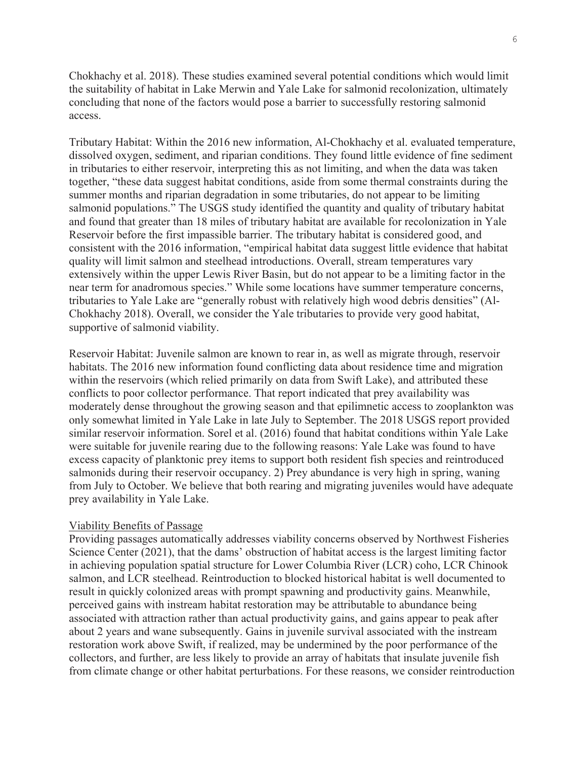Chokhachy et al. 2018). These studies examined several potential conditions which would limit the suitability of habitat in Lake Merwin and Yale Lake for salmonid recolonization, ultimately concluding that none of the factors would pose a barrier to successfully restoring salmonid access.

Tributary Habitat: Within the 2016 new information, Al-Chokhachy et al. evaluated temperature, dissolved oxygen, sediment, and riparian conditions. They found little evidence of fine sediment in tributaries to either reservoir, interpreting this as not limiting, and when the data was taken together, "these data suggest habitat conditions, aside from some thermal constraints during the summer months and riparian degradation in some tributaries, do not appear to be limiting salmonid populations." The USGS study identified the quantity and quality of tributary habitat and found that greater than 18 miles of tributary habitat are available for recolonization in Yale Reservoir before the first impassible barrier. The tributary habitat is considered good, and consistent with the 2016 information, "empirical habitat data suggest little evidence that habitat quality will limit salmon and steelhead introductions. Overall, stream temperatures vary extensively within the upper Lewis River Basin, but do not appear to be a limiting factor in the near term for anadromous species." While some locations have summer temperature concerns, tributaries to Yale Lake are "generally robust with relatively high wood debris densities" (Al-Chokhachy 2018). Overall, we consider the Yale tributaries to provide very good habitat, supportive of salmonid viability.

Reservoir Habitat: Juvenile salmon are known to rear in, as well as migrate through, reservoir habitats. The 2016 new information found conflicting data about residence time and migration within the reservoirs (which relied primarily on data from Swift Lake), and attributed these conflicts to poor collector performance. That report indicated that prey availability was moderately dense throughout the growing season and that epilimnetic access to zooplankton was only somewhat limited in Yale Lake in late July to September. The 2018 USGS report provided similar reservoir information. Sorel et al. (2016) found that habitat conditions within Yale Lake were suitable for juvenile rearing due to the following reasons: Yale Lake was found to have excess capacity of planktonic prey items to support both resident fish species and reintroduced salmonids during their reservoir occupancy. 2) Prey abundance is very high in spring, waning from July to October. We believe that both rearing and migrating juveniles would have adequate prey availability in Yale Lake.

### Viability Benefits of Passage

Providing passages automatically addresses viability concerns observed by Northwest Fisheries Science Center (2021), that the dams' obstruction of habitat access is the largest limiting factor in achieving population spatial structure for Lower Columbia River (LCR) coho, LCR Chinook salmon, and LCR steelhead. Reintroduction to blocked historical habitat is well documented to result in quickly colonized areas with prompt spawning and productivity gains. Meanwhile, perceived gains with instream habitat restoration may be attributable to abundance being associated with attraction rather than actual productivity gains, and gains appear to peak after about 2 years and wane subsequently. Gains in juvenile survival associated with the instream restoration work above Swift, if realized, may be undermined by the poor performance of the collectors, and further, are less likely to provide an array of habitats that insulate juvenile fish from climate change or other habitat perturbations. For these reasons, we consider reintroduction